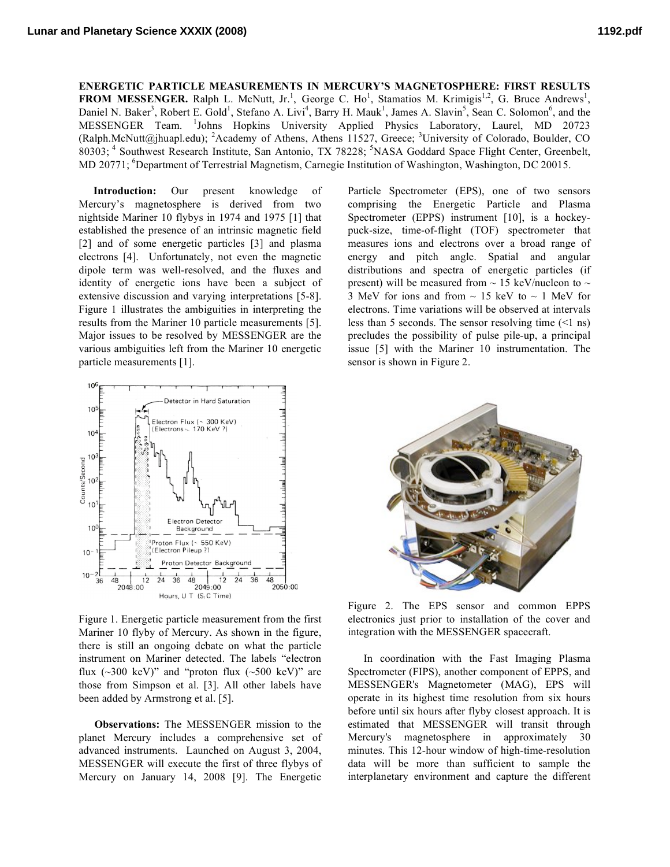**ENERGETIC PARTICLE MEASUREMENTS IN MERCURY'S MAGNETOSPHERE: FIRST RESULTS FROM MESSENGER.** Ralph L. McNutt, Jr.<sup>1</sup>, George C. Ho<sup>1</sup>, Stamatios M. Krimigis<sup>1,2</sup>, G. Bruce Andrews<sup>1</sup>, Daniel N. Baker<sup>3</sup>, Robert E. Gold<sup>1</sup>, Stefano A. Livi<sup>4</sup>, Barry H. Mauk<sup>1</sup>, James A. Slavin<sup>5</sup>, Sean C. Solomon<sup>6</sup>, and the MESSENGER Team. <sup>1</sup>Johns Hopkins University Applied Physics Laboratory, Laurel, MD 20723 (Ralph.McNutt@jhuapl.edu); <sup>2</sup>Academy of Athens, Athens 11527, Greece; <sup>3</sup>University of Colorado, Boulder, CO 80303;<sup>4</sup> Southwest Research Institute, San Antonio, TX 78228; <sup>5</sup>NASA Goddard Space Flight Center, Greenbelt, MD 20771; <sup>6</sup>Department of Terrestrial Magnetism, Carnegie Institution of Washington, Washington, DC 20015.

**Introduction:** Our present knowledge of Mercury's magnetosphere is derived from two nightside Mariner 10 flybys in 1974 and 1975 [1] that established the presence of an intrinsic magnetic field [2] and of some energetic particles [3] and plasma electrons [4]. Unfortunately, not even the magnetic dipole term was well-resolved, and the fluxes and identity of energetic ions have been a subject of extensive discussion and varying interpretations [5-8]. Figure 1 illustrates the ambiguities in interpreting the results from the Mariner 10 particle measurements [5]. Major issues to be resolved by MESSENGER are the various ambiguities left from the Mariner 10 energetic particle measurements [1].



Figure 1. Energetic particle measurement from the first Mariner 10 flyby of Mercury. As shown in the figure, there is still an ongoing debate on what the particle instrument on Mariner detected. The labels "electron flux  $(\sim 300 \text{ keV})$ " and "proton flux  $(\sim 500 \text{ keV})$ " are those from Simpson et al. [3]. All other labels have been added by Armstrong et al. [5].

**Observations:** The MESSENGER mission to the planet Mercury includes a comprehensive set of advanced instruments. Launched on August 3, 2004, MESSENGER will execute the first of three flybys of Mercury on January 14, 2008 [9]. The Energetic

Particle Spectrometer (EPS), one of two sensors comprising the Energetic Particle and Plasma Spectrometer (EPPS) instrument [10], is a hockeypuck-size, time-of-flight (TOF) spectrometer that measures ions and electrons over a broad range of energy and pitch angle. Spatial and angular distributions and spectra of energetic particles (if present) will be measured from  $\sim$  15 keV/nucleon to  $\sim$ 3 MeV for ions and from  $\sim$  15 keV to  $\sim$  1 MeV for electrons. Time variations will be observed at intervals less than 5 seconds. The sensor resolving time  $($  1) ns) precludes the possibility of pulse pile-up, a principal issue [5] with the Mariner 10 instrumentation. The sensor is shown in Figure 2.



Figure 2. The EPS sensor and common EPPS electronics just prior to installation of the cover and integration with the MESSENGER spacecraft.

In coordination with the Fast Imaging Plasma Spectrometer (FIPS), another component of EPPS, and MESSENGER's Magnetometer (MAG), EPS will operate in its highest time resolution from six hours before until six hours after flyby closest approach. It is estimated that MESSENGER will transit through Mercury's magnetosphere in approximately 30 minutes. This 12-hour window of high-time-resolution data will be more than sufficient to sample the interplanetary environment and capture the different